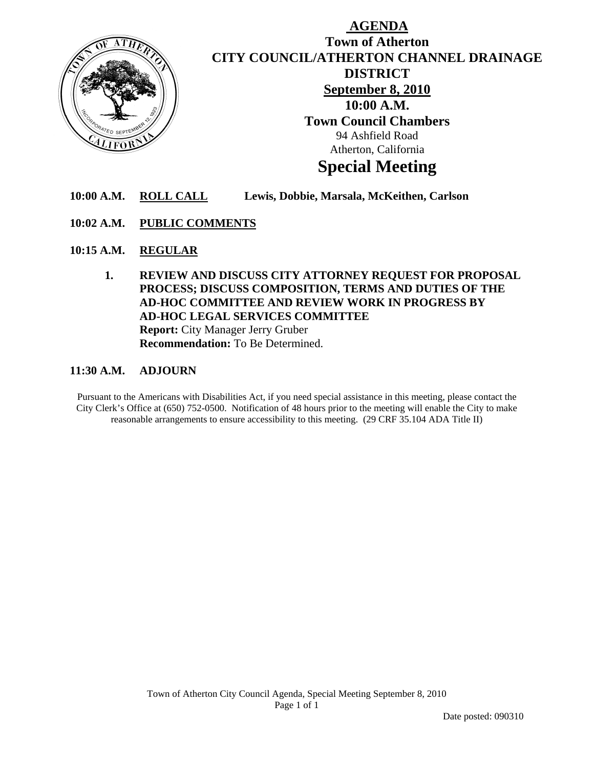

# **AGENDA Town of Atherton CITY COUNCIL/ATHERTON CHANNEL DRAINAGE DISTRICT September 8, 2010 10:00 A.M. Town Council Chambers**  94 Ashfield Road Atherton, California

# **Special Meeting**

# **10:00 A.M. ROLL CALL Lewis, Dobbie, Marsala, McKeithen, Carlson**

### **10:02 A.M. PUBLIC COMMENTS**

**10:15 A.M. REGULAR**

**1. REVIEW AND DISCUSS CITY ATTORNEY REQUEST FOR PROPOSAL PROCESS; DISCUSS COMPOSITION, TERMS AND DUTIES OF THE AD-HOC COMMITTEE AND REVIEW WORK IN PROGRESS BY AD-HOC LEGAL SERVICES COMMITTEE Report:** City Manager Jerry Gruber  **Recommendation:** To Be Determined.

### **11:30 A.M. ADJOURN**

Pursuant to the Americans with Disabilities Act, if you need special assistance in this meeting, please contact the City Clerk's Office at (650) 752-0500. Notification of 48 hours prior to the meeting will enable the City to make reasonable arrangements to ensure accessibility to this meeting. (29 CRF 35.104 ADA Title II)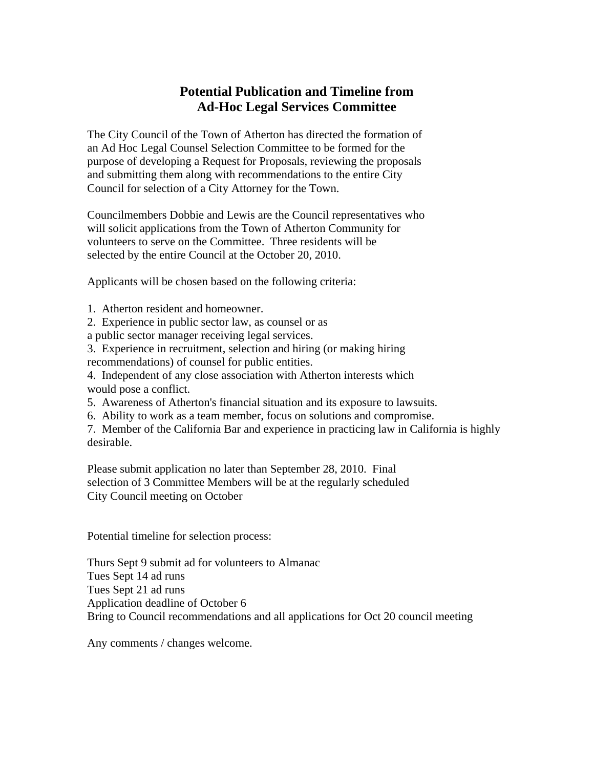# **Potential Publication and Timeline from Ad-Hoc Legal Services Committee**

The City Council of the Town of Atherton has directed the formation of an Ad Hoc Legal Counsel Selection Committee to be formed for the purpose of developing a Request for Proposals, reviewing the proposals and submitting them along with recommendations to the entire City Council for selection of a City Attorney for the Town.

Councilmembers Dobbie and Lewis are the Council representatives who will solicit applications from the Town of Atherton Community for volunteers to serve on the Committee. Three residents will be selected by the entire Council at the October 20, 2010.

Applicants will be chosen based on the following criteria:

1. Atherton resident and homeowner.

- 2. Experience in public sector law, as counsel or as
- a public sector manager receiving legal services.

3. Experience in recruitment, selection and hiring (or making hiring recommendations) of counsel for public entities.

4. Independent of any close association with Atherton interests which would pose a conflict.

- 5. Awareness of Atherton's financial situation and its exposure to lawsuits.
- 6. Ability to work as a team member, focus on solutions and compromise.

7. Member of the California Bar and experience in practicing law in California is highly desirable.

Please submit application no later than September 28, 2010. Final selection of 3 Committee Members will be at the regularly scheduled City Council meeting on October

Potential timeline for selection process:

Thurs Sept 9 submit ad for volunteers to Almanac Tues Sept 14 ad runs Tues Sept 21 ad runs Application deadline of October 6 Bring to Council recommendations and all applications for Oct 20 council meeting

Any comments / changes welcome.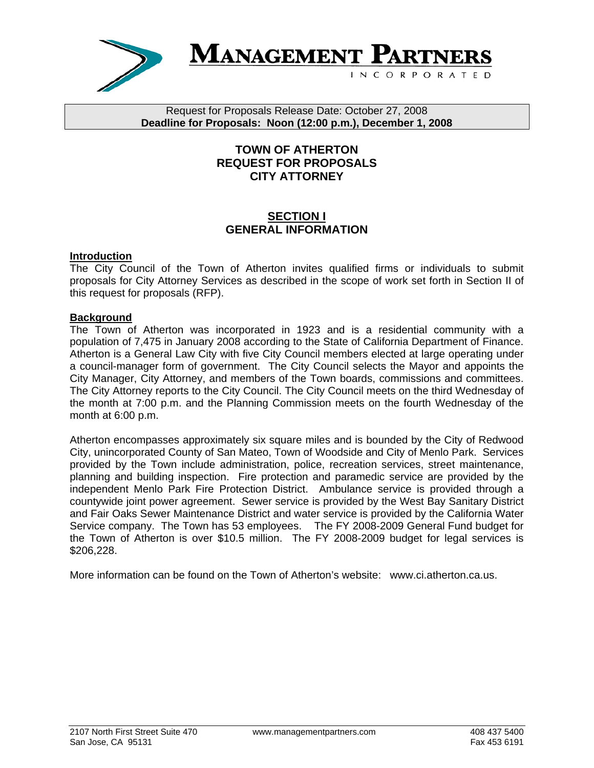

Request for Proposals Release Date: October 27, 2008 **Deadline for Proposals: Noon (12:00 p.m.), December 1, 2008** 

# **TOWN OF ATHERTON REQUEST FOR PROPOSALS CITY ATTORNEY**

# **SECTION I GENERAL INFORMATION**

### **Introduction**

The City Council of the Town of Atherton invites qualified firms or individuals to submit proposals for City Attorney Services as described in the scope of work set forth in Section II of this request for proposals (RFP).

### **Background**

The Town of Atherton was incorporated in 1923 and is a residential community with a population of 7,475 in January 2008 according to the State of California Department of Finance. Atherton is a General Law City with five City Council members elected at large operating under a council-manager form of government. The City Council selects the Mayor and appoints the City Manager, City Attorney, and members of the Town boards, commissions and committees. The City Attorney reports to the City Council. The City Council meets on the third Wednesday of the month at 7:00 p.m. and the Planning Commission meets on the fourth Wednesday of the month at 6:00 p.m.

Atherton encompasses approximately six square miles and is bounded by the City of Redwood City, unincorporated County of San Mateo, Town of Woodside and City of Menlo Park. Services provided by the Town include administration, police, recreation services, street maintenance, planning and building inspection. Fire protection and paramedic service are provided by the independent Menlo Park Fire Protection District. Ambulance service is provided through a countywide joint power agreement. Sewer service is provided by the West Bay Sanitary District and Fair Oaks Sewer Maintenance District and water service is provided by the California Water Service company. The Town has 53 employees. The FY 2008-2009 General Fund budget for the Town of Atherton is over \$10.5 million. The FY 2008-2009 budget for legal services is \$206,228.

More information can be found on the Town of Atherton's website: www.ci.atherton.ca.us.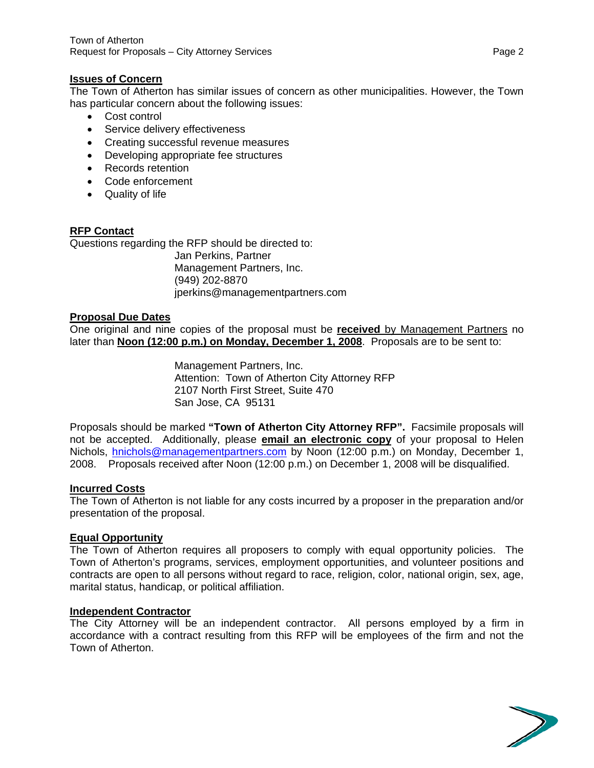### **Issues of Concern**

The Town of Atherton has similar issues of concern as other municipalities. However, the Town has particular concern about the following issues:

- Cost control
- Service delivery effectiveness
- Creating successful revenue measures
- Developing appropriate fee structures
- Records retention
- Code enforcement
- Quality of life

#### **RFP Contact**

Questions regarding the RFP should be directed to:

 Jan Perkins, Partner Management Partners, Inc. (949) 202-8870 jperkins@managementpartners.com

### **Proposal Due Dates**

One original and nine copies of the proposal must be **received** by Management Partners no later than **Noon (12:00 p.m.) on Monday, December 1, 2008**. Proposals are to be sent to:

> Management Partners, Inc. Attention: Town of Atherton City Attorney RFP 2107 North First Street, Suite 470 San Jose, CA 95131

Proposals should be marked **"Town of Atherton City Attorney RFP".** Facsimile proposals will not be accepted. Additionally, please **email an electronic copy** of your proposal to Helen Nichols, [hnichols@managementpartners.com](mailto:jperkins@managementpartners.com) by Noon (12:00 p.m.) on Monday, December 1, 2008. Proposals received after Noon (12:00 p.m.) on December 1, 2008 will be disqualified.

#### **Incurred Costs**

The Town of Atherton is not liable for any costs incurred by a proposer in the preparation and/or presentation of the proposal.

#### **Equal Opportunity**

The Town of Atherton requires all proposers to comply with equal opportunity policies. The Town of Atherton's programs, services, employment opportunities, and volunteer positions and contracts are open to all persons without regard to race, religion, color, national origin, sex, age, marital status, handicap, or political affiliation.

#### **Independent Contractor**

The City Attorney will be an independent contractor. All persons employed by a firm in accordance with a contract resulting from this RFP will be employees of the firm and not the Town of Atherton.

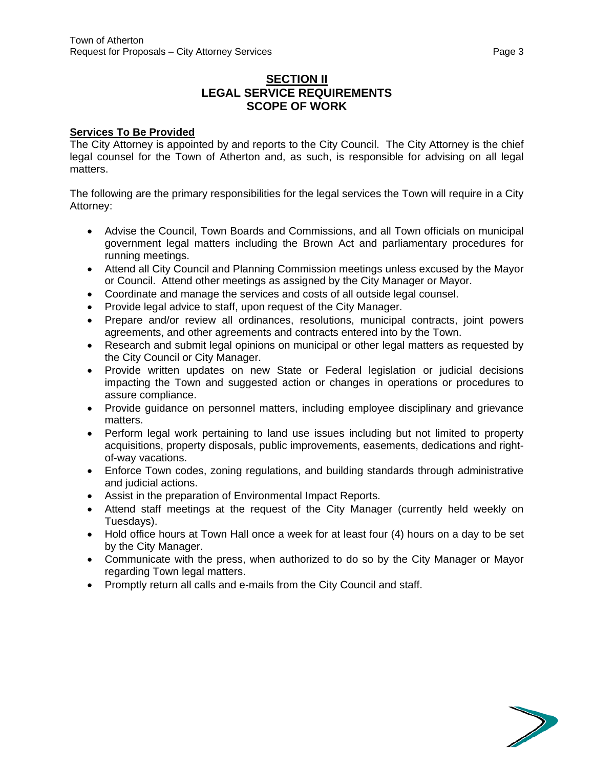### **Services To Be Provided**

The City Attorney is appointed by and reports to the City Council. The City Attorney is the chief legal counsel for the Town of Atherton and, as such, is responsible for advising on all legal matters.

The following are the primary responsibilities for the legal services the Town will require in a City Attorney:

- Advise the Council, Town Boards and Commissions, and all Town officials on municipal government legal matters including the Brown Act and parliamentary procedures for running meetings.
- Attend all City Council and Planning Commission meetings unless excused by the Mayor or Council. Attend other meetings as assigned by the City Manager or Mayor.
- Coordinate and manage the services and costs of all outside legal counsel.
- Provide legal advice to staff, upon request of the City Manager.
- Prepare and/or review all ordinances, resolutions, municipal contracts, joint powers agreements, and other agreements and contracts entered into by the Town.
- Research and submit legal opinions on municipal or other legal matters as requested by the City Council or City Manager.
- Provide written updates on new State or Federal legislation or judicial decisions impacting the Town and suggested action or changes in operations or procedures to assure compliance.
- Provide guidance on personnel matters, including employee disciplinary and grievance matters.
- Perform legal work pertaining to land use issues including but not limited to property acquisitions, property disposals, public improvements, easements, dedications and rightof-way vacations.
- Enforce Town codes, zoning regulations, and building standards through administrative and judicial actions.
- Assist in the preparation of Environmental Impact Reports.
- Attend staff meetings at the request of the City Manager (currently held weekly on Tuesdays).
- Hold office hours at Town Hall once a week for at least four (4) hours on a day to be set by the City Manager.
- Communicate with the press, when authorized to do so by the City Manager or Mayor regarding Town legal matters.
- Promptly return all calls and e-mails from the City Council and staff.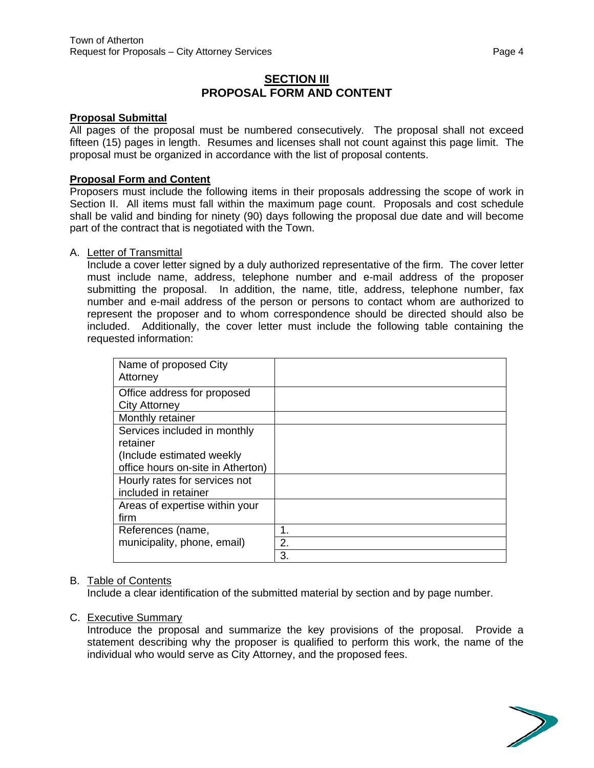### **SECTION III PROPOSAL FORM AND CONTENT**

### **Proposal Submittal**

All pages of the proposal must be numbered consecutively. The proposal shall not exceed fifteen (15) pages in length. Resumes and licenses shall not count against this page limit. The proposal must be organized in accordance with the list of proposal contents.

### **Proposal Form and Content**

Proposers must include the following items in their proposals addressing the scope of work in Section II. All items must fall within the maximum page count. Proposals and cost schedule shall be valid and binding for ninety (90) days following the proposal due date and will become part of the contract that is negotiated with the Town.

### A. Letter of Transmittal

Include a cover letter signed by a duly authorized representative of the firm. The cover letter must include name, address, telephone number and e-mail address of the proposer submitting the proposal. In addition, the name, title, address, telephone number, fax number and e-mail address of the person or persons to contact whom are authorized to represent the proposer and to whom correspondence should be directed should also be included. Additionally, the cover letter must include the following table containing the requested information:

| Name of proposed City<br>Attorney |    |
|-----------------------------------|----|
| Office address for proposed       |    |
| <b>City Attorney</b>              |    |
| Monthly retainer                  |    |
| Services included in monthly      |    |
| retainer                          |    |
| (Include estimated weekly         |    |
| office hours on-site in Atherton) |    |
| Hourly rates for services not     |    |
| included in retainer              |    |
| Areas of expertise within your    |    |
| firm                              |    |
| References (name,                 | 1. |
| municipality, phone, email)       | 2. |
|                                   | 3. |

#### B. Table of Contents

Include a clear identification of the submitted material by section and by page number.

#### C. Executive Summary

Introduce the proposal and summarize the key provisions of the proposal. Provide a statement describing why the proposer is qualified to perform this work, the name of the individual who would serve as City Attorney, and the proposed fees.

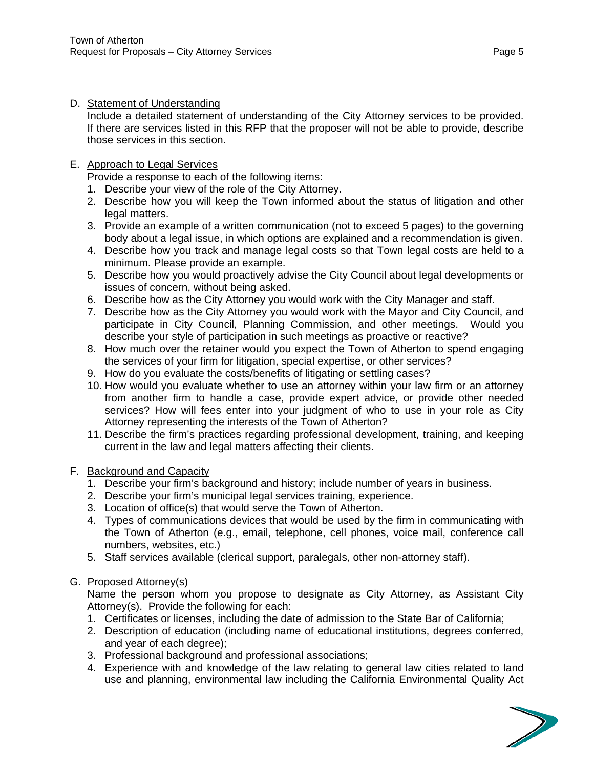D. Statement of Understanding

Include a detailed statement of understanding of the City Attorney services to be provided. If there are services listed in this RFP that the proposer will not be able to provide, describe those services in this section.

### E. Approach to Legal Services

Provide a response to each of the following items:

- 1. Describe your view of the role of the City Attorney.
- 2. Describe how you will keep the Town informed about the status of litigation and other legal matters.
- 3. Provide an example of a written communication (not to exceed 5 pages) to the governing body about a legal issue, in which options are explained and a recommendation is given.
- 4. Describe how you track and manage legal costs so that Town legal costs are held to a minimum. Please provide an example.
- 5. Describe how you would proactively advise the City Council about legal developments or issues of concern, without being asked.
- 6. Describe how as the City Attorney you would work with the City Manager and staff.
- 7. Describe how as the City Attorney you would work with the Mayor and City Council, and participate in City Council, Planning Commission, and other meetings. Would you describe your style of participation in such meetings as proactive or reactive?
- 8. How much over the retainer would you expect the Town of Atherton to spend engaging the services of your firm for litigation, special expertise, or other services?
- 9. How do you evaluate the costs/benefits of litigating or settling cases?
- 10. How would you evaluate whether to use an attorney within your law firm or an attorney from another firm to handle a case, provide expert advice, or provide other needed services? How will fees enter into your judgment of who to use in your role as City Attorney representing the interests of the Town of Atherton?
- 11. Describe the firm's practices regarding professional development, training, and keeping current in the law and legal matters affecting their clients.
- F. Background and Capacity
	- 1. Describe your firm's background and history; include number of years in business.
	- 2. Describe your firm's municipal legal services training, experience.
	- 3. Location of office(s) that would serve the Town of Atherton.
	- 4. Types of communications devices that would be used by the firm in communicating with the Town of Atherton (e.g., email, telephone, cell phones, voice mail, conference call numbers, websites, etc.)
	- 5. Staff services available (clerical support, paralegals, other non-attorney staff).
- G. Proposed Attorney(s)

Name the person whom you propose to designate as City Attorney, as Assistant City Attorney(s). Provide the following for each:

- 1. Certificates or licenses, including the date of admission to the State Bar of California;
- 2. Description of education (including name of educational institutions, degrees conferred, and year of each degree);
- 3. Professional background and professional associations;
- 4. Experience with and knowledge of the law relating to general law cities related to land use and planning, environmental law including the California Environmental Quality Act

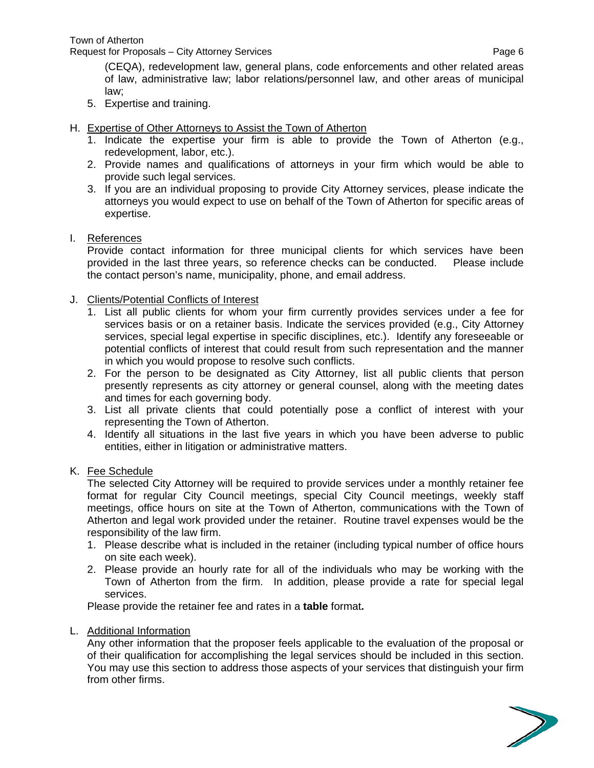Request for Proposals – City Attorney Services **Page 6** and the service Page 6

(CEQA), redevelopment law, general plans, code enforcements and other related areas of law, administrative law; labor relations/personnel law, and other areas of municipal law;

- 5. Expertise and training.
- H. Expertise of Other Attorneys to Assist the Town of Atherton
	- 1. Indicate the expertise your firm is able to provide the Town of Atherton (e.g., redevelopment, labor, etc.).
	- 2. Provide names and qualifications of attorneys in your firm which would be able to provide such legal services.
	- 3. If you are an individual proposing to provide City Attorney services, please indicate the attorneys you would expect to use on behalf of the Town of Atherton for specific areas of expertise.

### I. References

Provide contact information for three municipal clients for which services have been provided in the last three years, so reference checks can be conducted. Please include the contact person's name, municipality, phone, and email address.

### J. Clients/Potential Conflicts of Interest

- 1. List all public clients for whom your firm currently provides services under a fee for services basis or on a retainer basis. Indicate the services provided (e.g., City Attorney services, special legal expertise in specific disciplines, etc.). Identify any foreseeable or potential conflicts of interest that could result from such representation and the manner in which you would propose to resolve such conflicts.
- 2. For the person to be designated as City Attorney, list all public clients that person presently represents as city attorney or general counsel, along with the meeting dates and times for each governing body.
- 3. List all private clients that could potentially pose a conflict of interest with your representing the Town of Atherton.
- 4. Identify all situations in the last five years in which you have been adverse to public entities, either in litigation or administrative matters.

### K. Fee Schedule

The selected City Attorney will be required to provide services under a monthly retainer fee format for regular City Council meetings, special City Council meetings, weekly staff meetings, office hours on site at the Town of Atherton, communications with the Town of Atherton and legal work provided under the retainer. Routine travel expenses would be the responsibility of the law firm.

- 1. Please describe what is included in the retainer (including typical number of office hours on site each week).
- 2. Please provide an hourly rate for all of the individuals who may be working with the Town of Atherton from the firm. In addition, please provide a rate for special legal services.

Please provide the retainer fee and rates in a **table** format**.**

### L. Additional Information

Any other information that the proposer feels applicable to the evaluation of the proposal or of their qualification for accomplishing the legal services should be included in this section. You may use this section to address those aspects of your services that distinguish your firm from other firms.

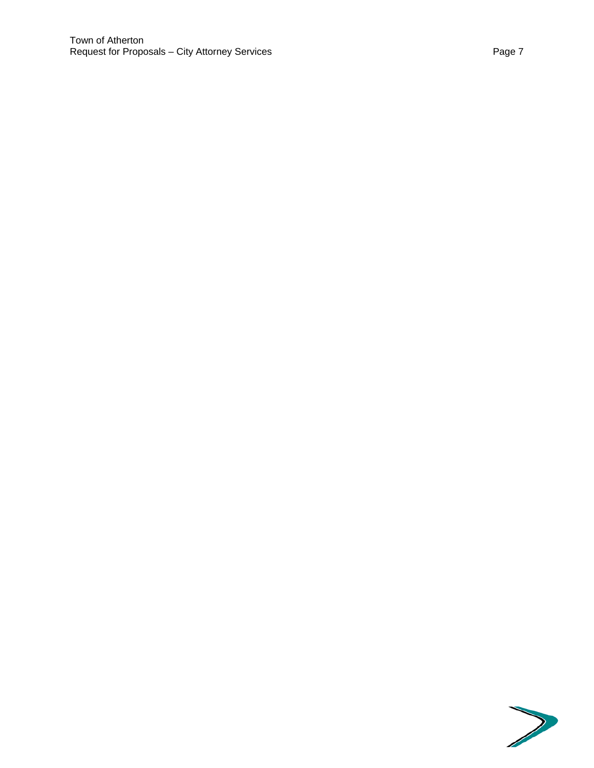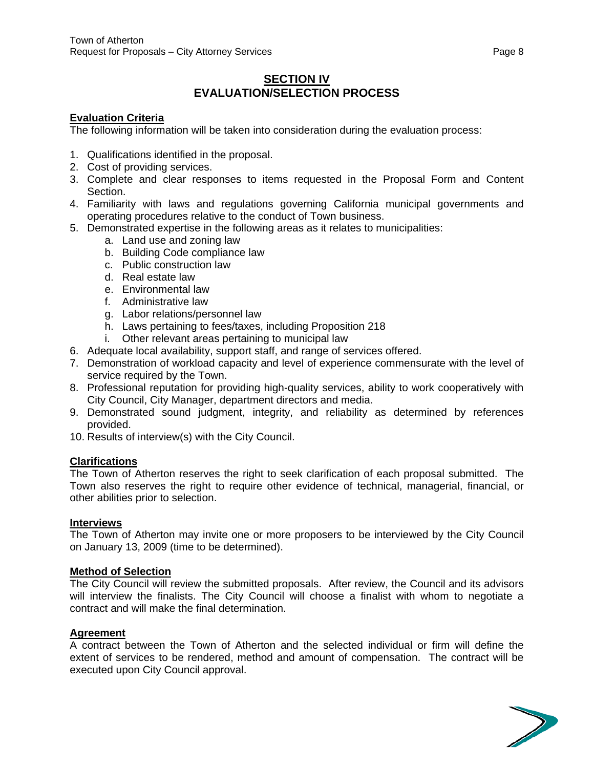### **SECTION IV EVALUATION/SELECTION PROCESS**

### **Evaluation Criteria**

The following information will be taken into consideration during the evaluation process:

- 1. Qualifications identified in the proposal.
- 2. Cost of providing services.
- 3. Complete and clear responses to items requested in the Proposal Form and Content Section.
- 4. Familiarity with laws and regulations governing California municipal governments and operating procedures relative to the conduct of Town business.
- 5. Demonstrated expertise in the following areas as it relates to municipalities:
	- a. Land use and zoning law
	- b. Building Code compliance law
	- c. Public construction law
	- d. Real estate law
	- e. Environmental law
	- f. Administrative law
	- g. Labor relations/personnel law
	- h. Laws pertaining to fees/taxes, including Proposition 218
	- i. Other relevant areas pertaining to municipal law
- 6. Adequate local availability, support staff, and range of services offered.
- 7. Demonstration of workload capacity and level of experience commensurate with the level of service required by the Town.
- 8. Professional reputation for providing high-quality services, ability to work cooperatively with City Council, City Manager, department directors and media.
- 9. Demonstrated sound judgment, integrity, and reliability as determined by references provided.
- 10. Results of interview(s) with the City Council.

#### **Clarifications**

The Town of Atherton reserves the right to seek clarification of each proposal submitted. The Town also reserves the right to require other evidence of technical, managerial, financial, or other abilities prior to selection.

#### **Interviews**

The Town of Atherton may invite one or more proposers to be interviewed by the City Council on January 13, 2009 (time to be determined).

#### **Method of Selection**

The City Council will review the submitted proposals. After review, the Council and its advisors will interview the finalists. The City Council will choose a finalist with whom to negotiate a contract and will make the final determination.

#### **Agreement**

A contract between the Town of Atherton and the selected individual or firm will define the extent of services to be rendered, method and amount of compensation. The contract will be executed upon City Council approval.

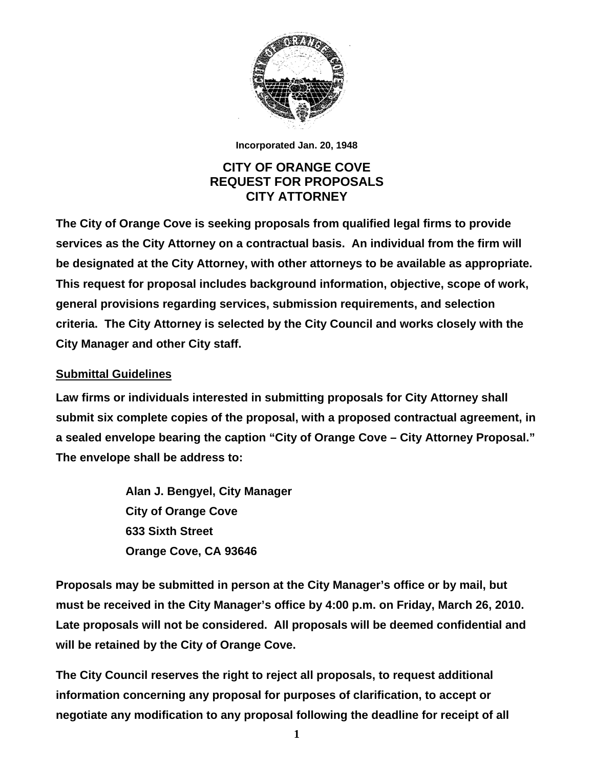

**Incorporated Jan. 20, 1948** 

# **CITY OF ORANGE COVE REQUEST FOR PROPOSALS CITY ATTORNEY**

**The City of Orange Cove is seeking proposals from qualified legal firms to provide services as the City Attorney on a contractual basis. An individual from the firm will be designated at the City Attorney, with other attorneys to be available as appropriate. This request for proposal includes background information, objective, scope of work, general provisions regarding services, submission requirements, and selection criteria. The City Attorney is selected by the City Council and works closely with the City Manager and other City staff.** 

### **Submittal Guidelines**

**Law firms or individuals interested in submitting proposals for City Attorney shall submit six complete copies of the proposal, with a proposed contractual agreement, in a sealed envelope bearing the caption "City of Orange Cove – City Attorney Proposal." The envelope shall be address to:** 

> **Alan J. Bengyel, City Manager City of Orange Cove 633 Sixth Street Orange Cove, CA 93646**

**Proposals may be submitted in person at the City Manager's office or by mail, but must be received in the City Manager's office by 4:00 p.m. on Friday, March 26, 2010. Late proposals will not be considered. All proposals will be deemed confidential and will be retained by the City of Orange Cove.** 

**The City Council reserves the right to reject all proposals, to request additional information concerning any proposal for purposes of clarification, to accept or negotiate any modification to any proposal following the deadline for receipt of all**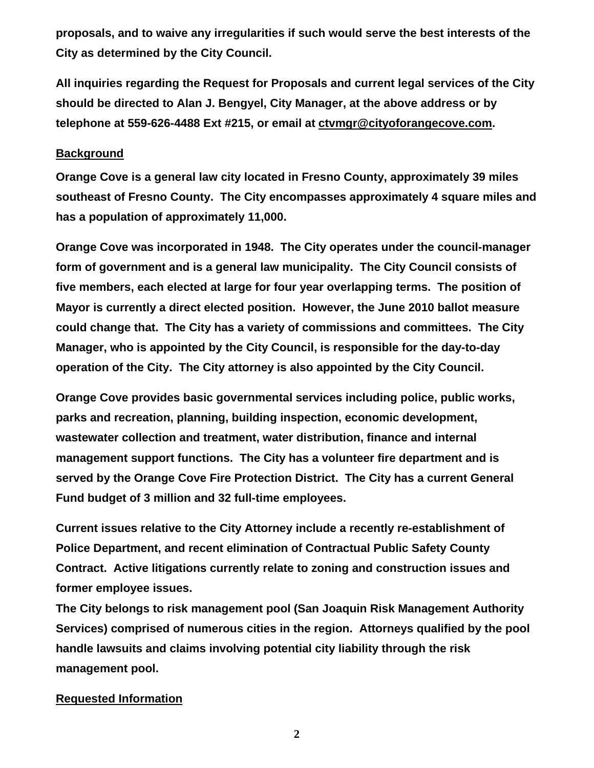**proposals, and to waive any irregularities if such would serve the best interests of the City as determined by the City Council.** 

**All inquiries regarding the Request for Proposals and current legal services of the City should be directed to Alan J. Bengyel, City Manager, at the above address or by telephone at 559-626-4488 Ext #215, or email at [ctvmgr@cityoforangecove.com](mailto:ctvmgr@cityoforangecove.com).** 

### **Background**

**Orange Cove is a general law city located in Fresno County, approximately 39 miles southeast of Fresno County. The City encompasses approximately 4 square miles and has a population of approximately 11,000.** 

**Orange Cove was incorporated in 1948. The City operates under the council-manager form of government and is a general law municipality. The City Council consists of five members, each elected at large for four year overlapping terms. The position of Mayor is currently a direct elected position. However, the June 2010 ballot measure could change that. The City has a variety of commissions and committees. The City Manager, who is appointed by the City Council, is responsible for the day-to-day operation of the City. The City attorney is also appointed by the City Council.** 

**Orange Cove provides basic governmental services including police, public works, parks and recreation, planning, building inspection, economic development, wastewater collection and treatment, water distribution, finance and internal management support functions. The City has a volunteer fire department and is served by the Orange Cove Fire Protection District. The City has a current General Fund budget of 3 million and 32 full-time employees.** 

**Current issues relative to the City Attorney include a recently re-establishment of Police Department, and recent elimination of Contractual Public Safety County Contract. Active litigations currently relate to zoning and construction issues and former employee issues.** 

**The City belongs to risk management pool (San Joaquin Risk Management Authority Services) comprised of numerous cities in the region. Attorneys qualified by the pool handle lawsuits and claims involving potential city liability through the risk management pool.** 

### **Requested Information**

**2**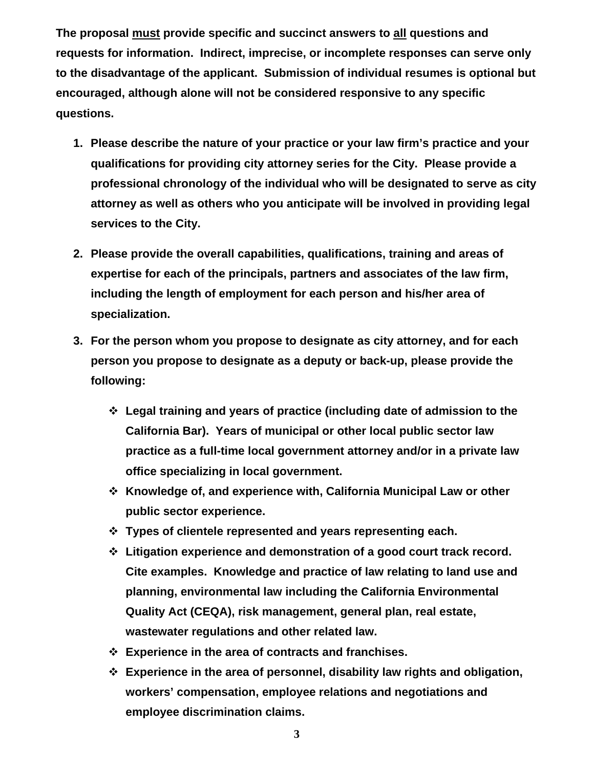**The proposal must provide specific and succinct answers to all questions and requests for information. Indirect, imprecise, or incomplete responses can serve only to the disadvantage of the applicant. Submission of individual resumes is optional but encouraged, although alone will not be considered responsive to any specific questions.** 

- **1. Please describe the nature of your practice or your law firm's practice and your qualifications for providing city attorney series for the City. Please provide a professional chronology of the individual who will be designated to serve as city attorney as well as others who you anticipate will be involved in providing legal services to the City.**
- **2. Please provide the overall capabilities, qualifications, training and areas of expertise for each of the principals, partners and associates of the law firm, including the length of employment for each person and his/her area of specialization.**
- **3. For the person whom you propose to designate as city attorney, and for each person you propose to designate as a deputy or back-up, please provide the following:** 
	- **Legal training and years of practice (including date of admission to the California Bar). Years of municipal or other local public sector law practice as a full-time local government attorney and/or in a private law office specializing in local government.**
	- **Knowledge of, and experience with, California Municipal Law or other public sector experience.**
	- **Types of clientele represented and years representing each.**
	- **Litigation experience and demonstration of a good court track record. Cite examples. Knowledge and practice of law relating to land use and planning, environmental law including the California Environmental Quality Act (CEQA), risk management, general plan, real estate, wastewater regulations and other related law.**
	- **Experience in the area of contracts and franchises.**
	- **Experience in the area of personnel, disability law rights and obligation, workers' compensation, employee relations and negotiations and employee discrimination claims.**

**3**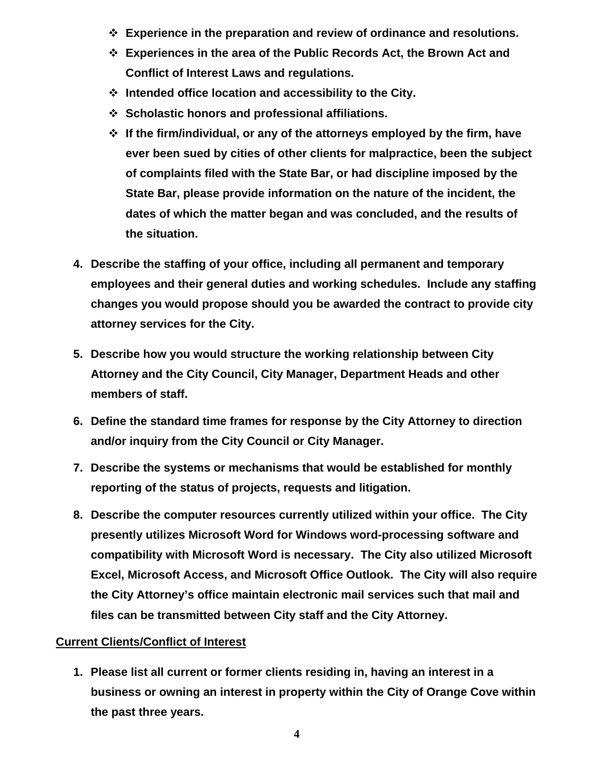- **Experience in the preparation and review of ordinance and resolutions.**
- **Experiences in the area of the Public Records Act, the Brown Act and Conflict of Interest Laws and regulations.**
- **Intended office location and accessibility to the City.**
- **Scholastic honors and professional affiliations.**
- **If the firm/individual, or any of the attorneys employed by the firm, have ever been sued by cities of other clients for malpractice, been the subject of complaints filed with the State Bar, or had discipline imposed by the State Bar, please provide information on the nature of the incident, the dates of which the matter began and was concluded, and the results of the situation.**
- **4. Describe the staffing of your office, including all permanent and temporary employees and their general duties and working schedules. Include any staffing changes you would propose should you be awarded the contract to provide city attorney services for the City.**
- **5. Describe how you would structure the working relationship between City Attorney and the City Council, City Manager, Department Heads and other members of staff.**
- **6. Define the standard time frames for response by the City Attorney to direction and/or inquiry from the City Council or City Manager.**
- **7. Describe the systems or mechanisms that would be established for monthly reporting of the status of projects, requests and litigation.**
- **8. Describe the computer resources currently utilized within your office. The City presently utilizes Microsoft Word for Windows word-processing software and compatibility with Microsoft Word is necessary. The City also utilized Microsoft Excel, Microsoft Access, and Microsoft Office Outlook. The City will also require the City Attorney's office maintain electronic mail services such that mail and files can be transmitted between City staff and the City Attorney.**

### **Current Clients/Conflict of Interest**

**1. Please list all current or former clients residing in, having an interest in a business or owning an interest in property within the City of Orange Cove within the past three years.**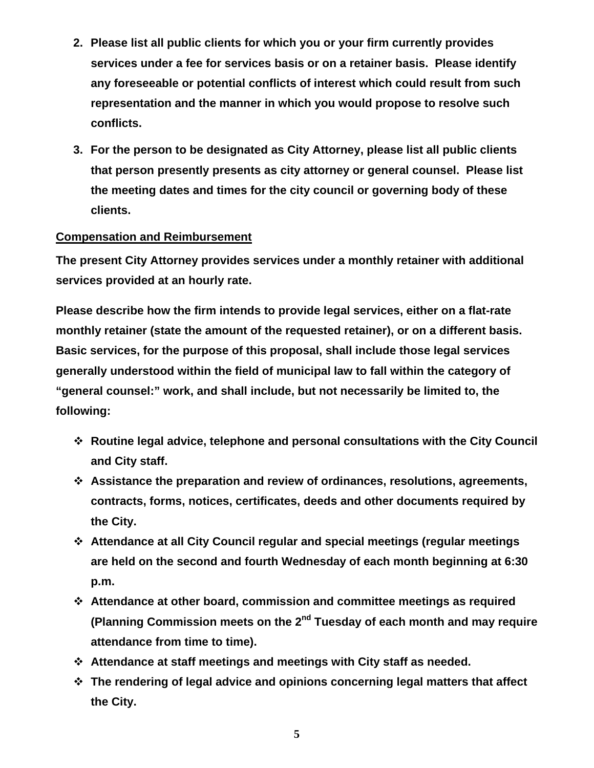- **2. Please list all public clients for which you or your firm currently provides services under a fee for services basis or on a retainer basis. Please identify any foreseeable or potential conflicts of interest which could result from such representation and the manner in which you would propose to resolve such conflicts.**
- **3. For the person to be designated as City Attorney, please list all public clients that person presently presents as city attorney or general counsel. Please list the meeting dates and times for the city council or governing body of these clients.**

# **Compensation and Reimbursement**

**The present City Attorney provides services under a monthly retainer with additional services provided at an hourly rate.** 

**Please describe how the firm intends to provide legal services, either on a flat-rate monthly retainer (state the amount of the requested retainer), or on a different basis. Basic services, for the purpose of this proposal, shall include those legal services generally understood within the field of municipal law to fall within the category of "general counsel:" work, and shall include, but not necessarily be limited to, the following:** 

- **Routine legal advice, telephone and personal consultations with the City Council and City staff.**
- **Assistance the preparation and review of ordinances, resolutions, agreements, contracts, forms, notices, certificates, deeds and other documents required by the City.**
- **Attendance at all City Council regular and special meetings (regular meetings are held on the second and fourth Wednesday of each month beginning at 6:30 p.m.**
- **Attendance at other board, commission and committee meetings as required (Planning Commission meets on the 2nd Tuesday of each month and may require attendance from time to time).**
- **Attendance at staff meetings and meetings with City staff as needed.**
- **The rendering of legal advice and opinions concerning legal matters that affect the City.**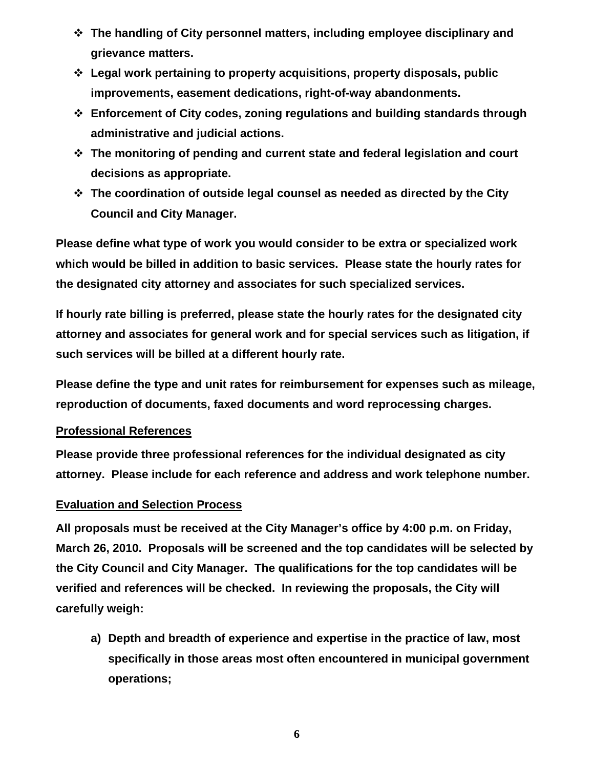- **The handling of City personnel matters, including employee disciplinary and grievance matters.**
- **Legal work pertaining to property acquisitions, property disposals, public improvements, easement dedications, right-of-way abandonments.**
- **Enforcement of City codes, zoning regulations and building standards through administrative and judicial actions.**
- **The monitoring of pending and current state and federal legislation and court decisions as appropriate.**
- **The coordination of outside legal counsel as needed as directed by the City Council and City Manager.**

**Please define what type of work you would consider to be extra or specialized work which would be billed in addition to basic services. Please state the hourly rates for the designated city attorney and associates for such specialized services.** 

**If hourly rate billing is preferred, please state the hourly rates for the designated city attorney and associates for general work and for special services such as litigation, if such services will be billed at a different hourly rate.** 

**Please define the type and unit rates for reimbursement for expenses such as mileage, reproduction of documents, faxed documents and word reprocessing charges.** 

# **Professional References**

**Please provide three professional references for the individual designated as city attorney. Please include for each reference and address and work telephone number.** 

# **Evaluation and Selection Process**

**All proposals must be received at the City Manager's office by 4:00 p.m. on Friday, March 26, 2010. Proposals will be screened and the top candidates will be selected by the City Council and City Manager. The qualifications for the top candidates will be verified and references will be checked. In reviewing the proposals, the City will carefully weigh:** 

**a) Depth and breadth of experience and expertise in the practice of law, most specifically in those areas most often encountered in municipal government operations;**